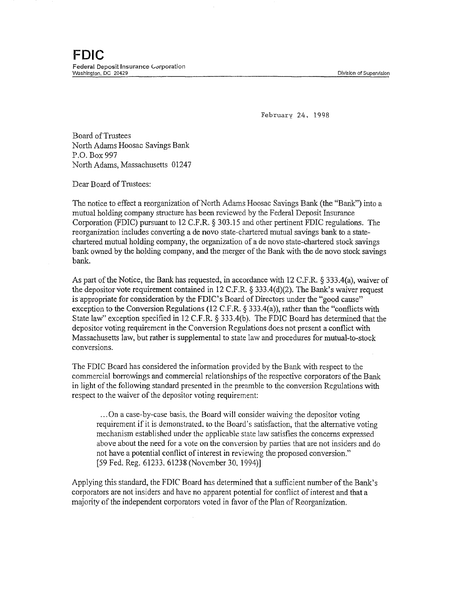February 24. 1998

**Board of Trustees** North Adams Hoosac Savings Bank P.O. Box 997 North Adams, Massachusetts 01247

Dear Board of Trustees:

The notice to effect a reorganization of North Adams Hoosac Savings Bank (the "Bank") into a mutual holding company structure has been reviewed by the Federal Deposit Insurance Corporation (FDIC) pursuant to 12 C.F.R. § 303.15 and other pertinent FDIC regulations. The reorganization includes converting a de novo state-chartered mutual savings bank to a statechartered mutual holding company, the organization of a de novo state-chartered stock savings bank owned by the holding company, and the merger of the Bank with the de novo stock savings bank.

As part of the Notice, the Bank has requested, in accordance with 12 C.F.R. § 333.4(a), waiver of the depositor vote requirement contained in 12 C.F.R.  $\S 333.4(d)(2)$ . The Bank's waiver request is appropriate for consideration by the FDIC's Board of Directors under the "good cause" exception to the Conversion Regulations (12 C.F.R. § 333.4(a)), rather than the "conflicts with State law" exception specified in 12 C.F.R. § 333.4(b). The FDIC Board has determined that the depositor voting requirement in the Conversion Regulations does not present a conflict with Massachusetts law, but rather is supplemental to state law and procedures for mutual-to-stock conversions.

The FDIC Board has considered the information provided by the Bank with respect to the commercial borrowings and commercial relationships of the respective corporators of the Bank in light of the following standard presented in the preamble to the conversion Regulations with respect to the waiver of the depositor voting requirement:

... On a case-by-case basis. the Board will consider waiving the depositor voting requirement if it is demonstrated. to the Board's satisfaction, that the alternative voting mechanism established under the applicable state law satisfies the concerns expressed above about the need for a vote on the conversion by parties that are not insiders and do not have a potential conflict of interest in reviewing the proposed conversion." [59 Fed. Reg. 61233. 61238 (November 30, 1994)]

Applying this standard, the FDIC Board has determined that a sufficient number of the Bank's corporators are not insiders and have no apparent potential for conflict of interest and that a majority of the independent corporators voted in favor of the Plan of Reorganization.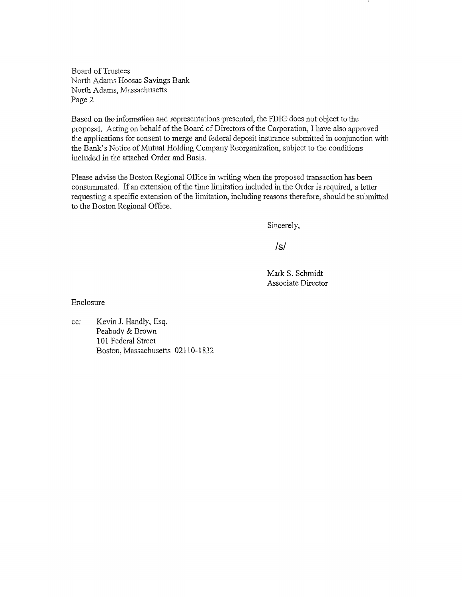Board of Trustees North Adams Hoosac Savings Bank North Adams, Massachusetts Page 2

Based on the information and representations-presented, the FDIG does not object to the proposal. Acting on behalf of the Board of Directors of the Corporation, I have also approved the applications for consent to merge and federal deposit insurance submitted in conjunction with the Bank's Notice of Mutual Holding Company Reorganization, subject to the conditions included in the attached Order and Basis.

Please advise the Boston Regional Office in writing when the proposed transaction has been consummated. If an extension of the time limitation included in the Order is required, a letter requesting a specific extension of the limitation, including reasons therefore, should be submitted to the Boston Regional Office.

Sincerely,

 $\sqrt{s}$ 

MarkS. Schmidt Associate Director

Enclosure

cc: Kevin J. Handly, Esq. Peabody & Brown 101 Federal Street Boston, Massachusetts 02110-1832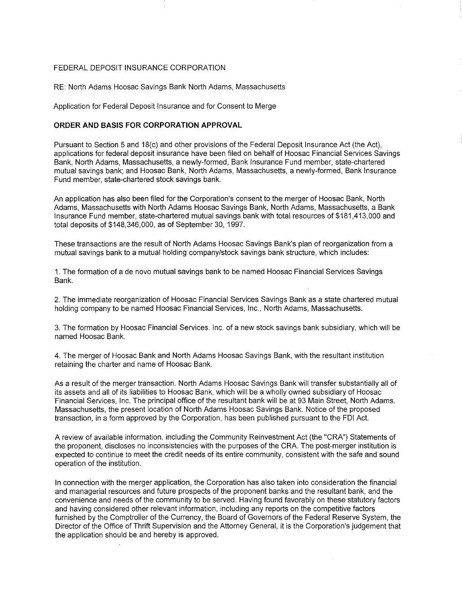## FEDERAL DEPOSIT INSURANCE CORPORATION

RE: North Adams Hoosac Savings Bank North Adams, Massachusetts

Application for Federal Deposit Insurance and for Consent to Merge

## **ORDER AND BASIS FOR CORPORATION APPROVAL**

Pursuant to Section 5 and 18(c) and other provisions of the Federal Deposit Insurance Act (the Act), applications for federal deposit insurance have been filed on behalf of Hoosac Financial Services Savings Bank, North Adams, Massachusetts, a newly-formed, Bank Insurance Fund member, state-chartered mutual savings bank; and Hoosac Bank, North Adams, Massachusetts, a newly-formed, Bank Insurance Fund member, state-chartered stock savings bank.

An application has also been filed for the Corporation's consent to the merger of Hoosac Bank, North Adams, Massachusetts with North Adams Hoosac Savings Bank, North Adams, Massachusetts, a Bank Insurance Fund member, state-chartered mutual savings bank with total resources of \$181,413,000 and total deposits of \$148,346,000, as of September 30, 1997.

These transactions are the result of North Adams Hoosac Savings Bank's plan of reorganization from a mutual savings bank to a mutual holding company/stock savings bank structure, which includes:

1. The formation of a de novo mutual savings bank to be named Hoosac Financial Services Savings Bank.

2. The immediate reorganization of Hoosac Financial Services Savings Bank as a state chartered mutual holding company to be named Hoosac Financial Services, Inc., North Adams, Massachusetts.

3. The formation by Hoosac Financial Services. Inc. of a new stock savings bank subsidiary, which will be named Hoosac Bank.

4. The merger of Hoosac Bank and North Adams Hoosac Savings Bank, with the resultant institution retaining the charter and name of Hoosac Bank.

As a result of the merger transaction. North Adams Hoosac Savings Bank will transfer substantially all of its assets and all of its liabilities to Hoosac Bank, which will be a wholly owned subsidiary of Hoosac Financial Services, Inc. The principal office of the resultant bank will be at 93 Main Street, North Adams. Massachusetts, the present location of North Adams Hoosac Savings Bank. Notice of the proposed transaction, in a form approved by the Corporation, has been published pursuant to the FDI Act.

A review of available information. including the Community Reinvestment Act (the "CRA") Statements of the proponent, discloses no inconsistencies with the purposes of the CRA. The post-merger institution is expected to continue to meet the credit needs of its entire community, consistent with the safe and sound operation of the institution.

In connection with the merger application, the Corporation has also taken into consideration the financial and managerial resources and future prospects of the proponent banks and the resultant bank, and the convenience and needs of the community to be served. Having found favorably on these statutory factors and having considered other relevant information, including any reports on the competitive factors furnished by the Comptroller of the Currency, the Board of Governors of the Federal Reserve System, the Director of the Office of Thrift Supervision and the Attorney General, it is the Corporation's judgement that the application should be and hereby is approved.